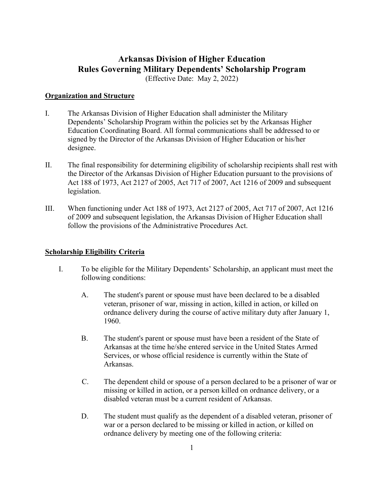# **Arkansas Division of Higher Education Rules Governing Military Dependents' Scholarship Program**

(Effective Date: May 2, 2022)

# **Organization and Structure**

- I. The Arkansas Division of Higher Education shall administer the Military Dependents' Scholarship Program within the policies set by the Arkansas Higher Education Coordinating Board. All formal communications shall be addressed to or signed by the Director of the Arkansas Division of Higher Education or his/her designee.
- II. The final responsibility for determining eligibility of scholarship recipients shall rest with the Director of the Arkansas Division of Higher Education pursuant to the provisions of Act 188 of 1973, Act 2127 of 2005, Act 717 of 2007, Act 1216 of 2009 and subsequent legislation.
- III. When functioning under Act 188 of 1973, Act 2127 of 2005, Act 717 of 2007, Act 1216 of 2009 and subsequent legislation, the Arkansas Division of Higher Education shall follow the provisions of the Administrative Procedures Act.

### **Scholarship Eligibility Criteria**

- I. To be eligible for the Military Dependents' Scholarship, an applicant must meet the following conditions:
	- A. The student's parent or spouse must have been declared to be a disabled veteran, prisoner of war, missing in action, killed in action, or killed on ordnance delivery during the course of active military duty after January 1, 1960.
	- B. The student's parent or spouse must have been a resident of the State of Arkansas at the time he/she entered service in the United States Armed Services, or whose official residence is currently within the State of Arkansas.
	- C. The dependent child or spouse of a person declared to be a prisoner of war or missing or killed in action, or a person killed on ordnance delivery, or a disabled veteran must be a current resident of Arkansas.
	- D. The student must qualify as the dependent of a disabled veteran, prisoner of war or a person declared to be missing or killed in action, or killed on ordnance delivery by meeting one of the following criteria: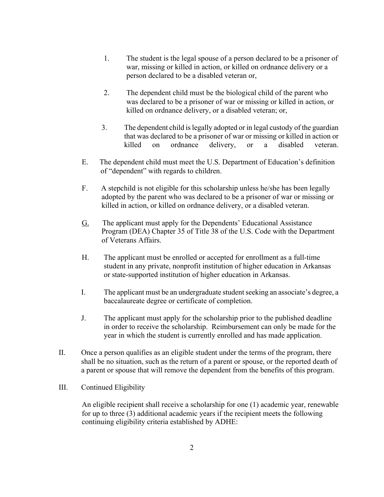- 1. The student is the legal spouse of a person declared to be a prisoner of war, missing or killed in action, or killed on ordnance delivery or a person declared to be a disabled veteran or,
- 2. The dependent child must be the biological child of the parent who was declared to be a prisoner of war or missing or killed in action, or killed on ordnance delivery, or a disabled veteran; or,
- 3. The dependent child is legally adopted or in legal custody of the guardian that was declared to be a prisoner of war or missing or killed in action or killed on ordnance delivery, or a disabled veteran.
- E. The dependent child must meet the U.S. Department of Education's definition of "dependent" with regards to children.
- F. A stepchild is not eligible for this scholarship unless he/she has been legally adopted by the parent who was declared to be a prisoner of war or missing or killed in action, or killed on ordnance delivery, or a disabled veteran.
- G. The applicant must apply for the Dependents' Educational Assistance Program (DEA) Chapter 35 of Title 38 of the U.S. Code with the Department of Veterans Affairs.
- H. The applicant must be enrolled or accepted for enrollment as a full-time student in any private, nonprofit institution of higher education in Arkansas or state-supported institution of higher education in Arkansas.
- I. The applicant must be an undergraduate student seeking an associate's degree, a baccalaureate degree or certificate of completion.
- J. The applicant must apply for the scholarship prior to the published deadline in order to receive the scholarship. Reimbursement can only be made for the year in which the student is currently enrolled and has made application.
- II. Once a person qualifies as an eligible student under the terms of the program, there shall be no situation, such as the return of a parent or spouse, or the reported death of a parent or spouse that will remove the dependent from the benefits of this program.

# III. Continued Eligibility

An eligible recipient shall receive a scholarship for one (1) academic year, renewable for up to three (3) additional academic years if the recipient meets the following continuing eligibility criteria established by ADHE: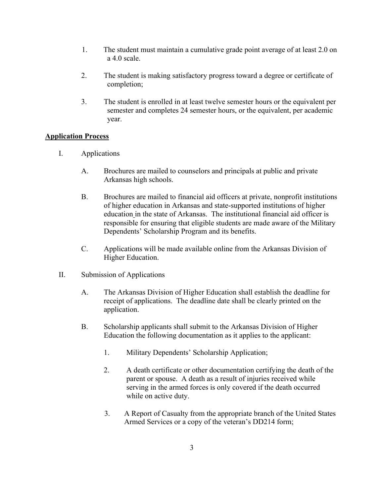- 1. The student must maintain a cumulative grade point average of at least 2.0 on a 4.0 scale.
- 2. The student is making satisfactory progress toward a degree or certificate of completion;
- 3. The student is enrolled in at least twelve semester hours or the equivalent per semester and completes 24 semester hours, or the equivalent, per academic year.

# **Application Process**

- I. Applications
	- A. Brochures are mailed to counselors and principals at public and private Arkansas high schools.
	- B. Brochures are mailed to financial aid officers at private, nonprofit institutions of higher education in Arkansas and state-supported institutions of higher education in the state of Arkansas. The institutional financial aid officer is responsible for ensuring that eligible students are made aware of the Military Dependents' Scholarship Program and its benefits.
	- C. Applications will be made available online from the Arkansas Division of Higher Education.
- II. Submission of Applications
	- A. The Arkansas Division of Higher Education shall establish the deadline for receipt of applications. The deadline date shall be clearly printed on the application.
	- B. Scholarship applicants shall submit to the Arkansas Division of Higher Education the following documentation as it applies to the applicant:
		- 1. Military Dependents' Scholarship Application;
		- 2. A death certificate or other documentation certifying the death of the parent or spouse. A death as a result of injuries received while serving in the armed forces is only covered if the death occurred while on active duty.
		- 3. A Report of Casualty from the appropriate branch of the United States Armed Services or a copy of the veteran's DD214 form;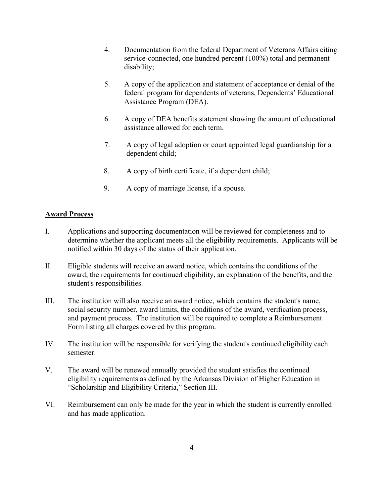- 4. Documentation from the federal Department of Veterans Affairs citing service-connected, one hundred percent (100%) total and permanent disability;
- 5. A copy of the application and statement of acceptance or denial of the federal program for dependents of veterans, Dependents' Educational Assistance Program (DEA).
- 6. A copy of DEA benefits statement showing the amount of educational assistance allowed for each term.
- 7. A copy of legal adoption or court appointed legal guardianship for a dependent child;
- 8. A copy of birth certificate, if a dependent child;
- 9. A copy of marriage license, if a spouse.

# **Award Process**

- I. Applications and supporting documentation will be reviewed for completeness and to determine whether the applicant meets all the eligibility requirements. Applicants will be notified within 30 days of the status of their application.
- II. Eligible students will receive an award notice, which contains the conditions of the award, the requirements for continued eligibility, an explanation of the benefits, and the student's responsibilities.
- III. The institution will also receive an award notice, which contains the student's name, social security number, award limits, the conditions of the award, verification process, and payment process. The institution will be required to complete a Reimbursement Form listing all charges covered by this program.
- IV. The institution will be responsible for verifying the student's continued eligibility each semester.
- V. The award will be renewed annually provided the student satisfies the continued eligibility requirements as defined by the Arkansas Division of Higher Education in "Scholarship and Eligibility Criteria," Section III.
- VI. Reimbursement can only be made for the year in which the student is currently enrolled and has made application.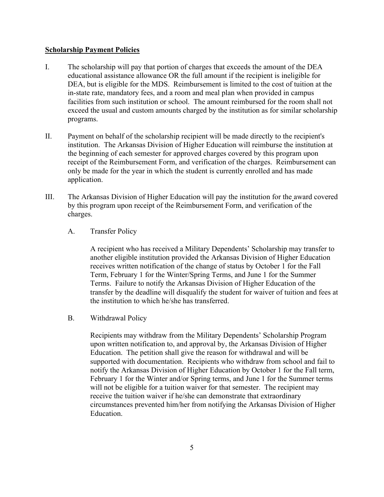#### **Scholarship Payment Policies**

- I. The scholarship will pay that portion of charges that exceeds the amount of the DEA educational assistance allowance OR the full amount if the recipient is ineligible for DEA, but is eligible for the MDS. Reimbursement is limited to the cost of tuition at the in-state rate, mandatory fees, and a room and meal plan when provided in campus facilities from such institution or school. The amount reimbursed for the room shall not exceed the usual and custom amounts charged by the institution as for similar scholarship programs.
- II. Payment on behalf of the scholarship recipient will be made directly to the recipient's institution. The Arkansas Division of Higher Education will reimburse the institution at the beginning of each semester for approved charges covered by this program upon receipt of the Reimbursement Form, and verification of the charges. Reimbursement can only be made for the year in which the student is currently enrolled and has made application.
- III. The Arkansas Division of Higher Education will pay the institution for the award covered by this program upon receipt of the Reimbursement Form, and verification of the charges.
	- A. Transfer Policy

A recipient who has received a Military Dependents' Scholarship may transfer to another eligible institution provided the Arkansas Division of Higher Education receives written notification of the change of status by October 1 for the Fall Term, February 1 for the Winter/Spring Terms, and June 1 for the Summer Terms. Failure to notify the Arkansas Division of Higher Education of the transfer by the deadline will disqualify the student for waiver of tuition and fees at the institution to which he/she has transferred.

B. Withdrawal Policy

Recipients may withdraw from the Military Dependents' Scholarship Program upon written notification to, and approval by, the Arkansas Division of Higher Education. The petition shall give the reason for withdrawal and will be supported with documentation. Recipients who withdraw from school and fail to notify the Arkansas Division of Higher Education by October 1 for the Fall term, February 1 for the Winter and/or Spring terms, and June 1 for the Summer terms will not be eligible for a tuition waiver for that semester. The recipient may receive the tuition waiver if he/she can demonstrate that extraordinary circumstances prevented him/her from notifying the Arkansas Division of Higher Education.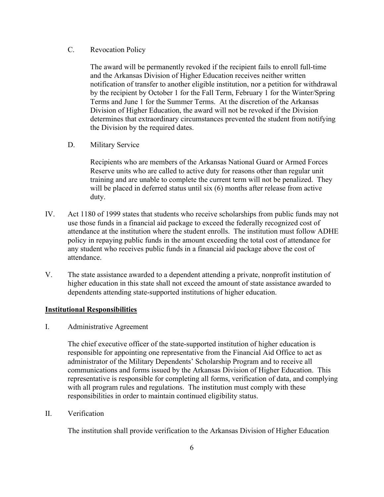# C. Revocation Policy

The award will be permanently revoked if the recipient fails to enroll full-time and the Arkansas Division of Higher Education receives neither written notification of transfer to another eligible institution, nor a petition for withdrawal by the recipient by October 1 for the Fall Term, February 1 for the Winter/Spring Terms and June 1 for the Summer Terms. At the discretion of the Arkansas Division of Higher Education, the award will not be revoked if the Division determines that extraordinary circumstances prevented the student from notifying the Division by the required dates.

D. Military Service

Recipients who are members of the Arkansas National Guard or Armed Forces Reserve units who are called to active duty for reasons other than regular unit training and are unable to complete the current term will not be penalized. They will be placed in deferred status until six (6) months after release from active duty.

- IV. Act 1180 of 1999 states that students who receive scholarships from public funds may not use those funds in a financial aid package to exceed the federally recognized cost of attendance at the institution where the student enrolls. The institution must follow ADHE policy in repaying public funds in the amount exceeding the total cost of attendance for any student who receives public funds in a financial aid package above the cost of attendance.
- V. The state assistance awarded to a dependent attending a private, nonprofit institution of higher education in this state shall not exceed the amount of state assistance awarded to dependents attending state-supported institutions of higher education.

# **Institutional Responsibilities**

I. Administrative Agreement

The chief executive officer of the state-supported institution of higher education is responsible for appointing one representative from the Financial Aid Office to act as administrator of the Military Dependents' Scholarship Program and to receive all communications and forms issued by the Arkansas Division of Higher Education. This representative is responsible for completing all forms, verification of data, and complying with all program rules and regulations. The institution must comply with these responsibilities in order to maintain continued eligibility status.

II. Verification

The institution shall provide verification to the Arkansas Division of Higher Education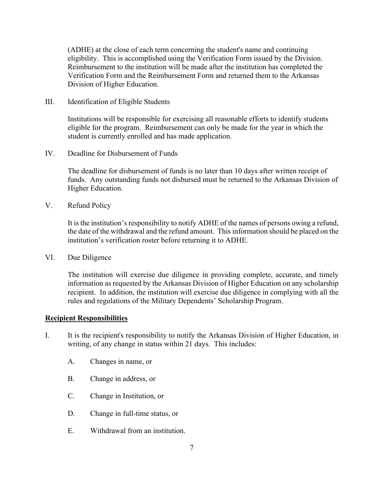(ADHE) at the close of each term concerning the student's name and continuing eligibility. This is accomplished using the Verification Form issued by the Division. Reimbursement to the institution will be made after the institution has completed the Verification Form and the Reimbursement Form and returned them to the Arkansas Division of Higher Education.

III. Identification of Eligible Students

Institutions will be responsible for exercising all reasonable efforts to identify students eligible for the program. Reimbursement can only be made for the year in which the student is currently enrolled and has made application.

IV. Deadline for Disbursement of Funds

The deadline for disbursement of funds is no later than 10 days after written receipt of funds. Any outstanding funds not disbursed must be returned to the Arkansas Division of Higher Education.

V. Refund Policy

It is the institution's responsibility to notify ADHE of the names of persons owing a refund, the date of the withdrawal and the refund amount. This information should be placed on the institution's verification roster before returning it to ADHE.

VI. Due Diligence

The institution will exercise due diligence in providing complete, accurate, and timely information as requested by the Arkansas Division of Higher Education on any scholarship recipient. In addition, the institution will exercise due diligence in complying with all the rules and regulations of the Military Dependents' Scholarship Program.

#### **Recipient Responsibilities**

- I. It is the recipient's responsibility to notify the Arkansas Division of Higher Education, in writing, of any change in status within 21 days. This includes:
	- A. Changes in name, or
	- B. Change in address, or
	- C. Change in Institution, or
	- D. Change in full-time status, or
	- E. Withdrawal from an institution.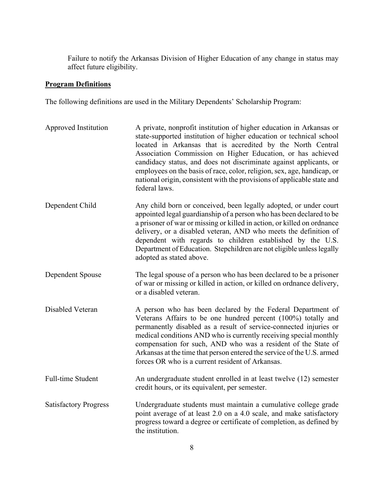Failure to notify the Arkansas Division of Higher Education of any change in status may affect future eligibility.

#### **Program Definitions**

The following definitions are used in the Military Dependents' Scholarship Program:

Approved Institution A private, nonprofit institution of higher education in Arkansas or state-supported institution of higher education or technical school located in Arkansas that is accredited by the North Central Association Commission on Higher Education, or has achieved candidacy status, and does not discriminate against applicants, or employees on the basis of race, color, religion, sex, age, handicap, or national origin, consistent with the provisions of applicable state and federal laws. Dependent Child Any child born or conceived, been legally adopted, or under court appointed legal guardianship of a person who has been declared to be a prisoner of war or missing or killed in action, or killed on ordnance delivery, or a disabled veteran, AND who meets the definition of dependent with regards to children established by the U.S. Department of Education. Stepchildren are not eligible unless legally adopted as stated above. Dependent Spouse The legal spouse of a person who has been declared to be a prisoner of war or missing or killed in action, or killed on ordnance delivery, or a disabled veteran. Disabled Veteran A person who has been declared by the Federal Department of Veterans Affairs to be one hundred percent (100%) totally and permanently disabled as a result of service-connected injuries or medical conditions AND who is currently receiving special monthly compensation for such, AND who was a resident of the State of Arkansas at the time that person entered the service of the U.S. armed forces OR who is a current resident of Arkansas. Full-time Student An undergraduate student enrolled in at least twelve (12) semester credit hours, or its equivalent, per semester. Satisfactory Progress Undergraduate students must maintain a cumulative college grade point average of at least 2.0 on a 4.0 scale, and make satisfactory progress toward a degree or certificate of completion, as defined by the institution.